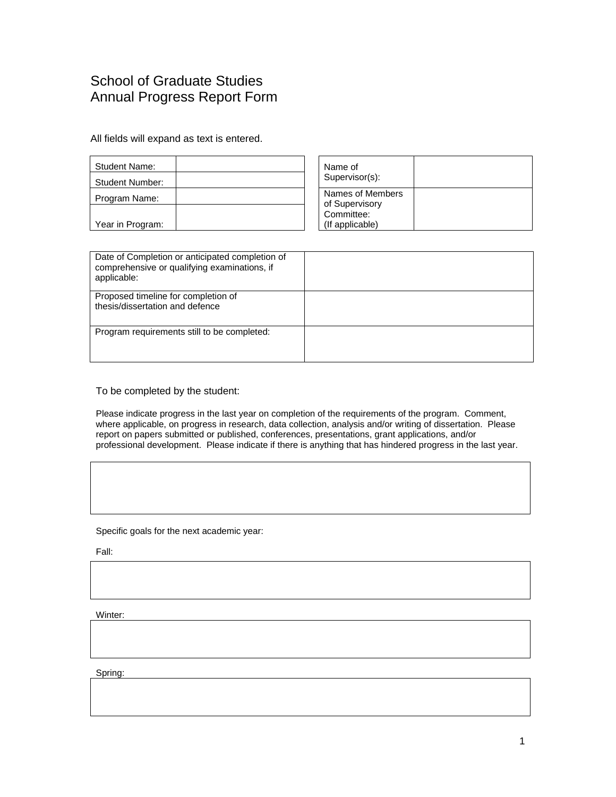## School of Graduate Studies Annual Progress Report Form

All fields will expand as text is entered.

| Student Name:<br><b>Student Number:</b> | Name of<br>Supervisor(s):                        |
|-----------------------------------------|--------------------------------------------------|
| Program Name:                           | Names of Members<br>of Supervisory<br>Committee: |
| Year in Program:                        | (If applicable)                                  |

| Date of Completion or anticipated completion of<br>comprehensive or qualifying examinations, if<br>applicable: |  |
|----------------------------------------------------------------------------------------------------------------|--|
| Proposed timeline for completion of<br>thesis/dissertation and defence                                         |  |
| Program requirements still to be completed:                                                                    |  |

To be completed by the student:

Please indicate progress in the last year on completion of the requirements of the program. Comment, where applicable, on progress in research, data collection, analysis and/or writing of dissertation. Please report on papers submitted or published, conferences, presentations, grant applications, and/or professional development. Please indicate if there is anything that has hindered progress in the last year.

Specific goals for the next academic year:

Fall:

Winter:

Spring: